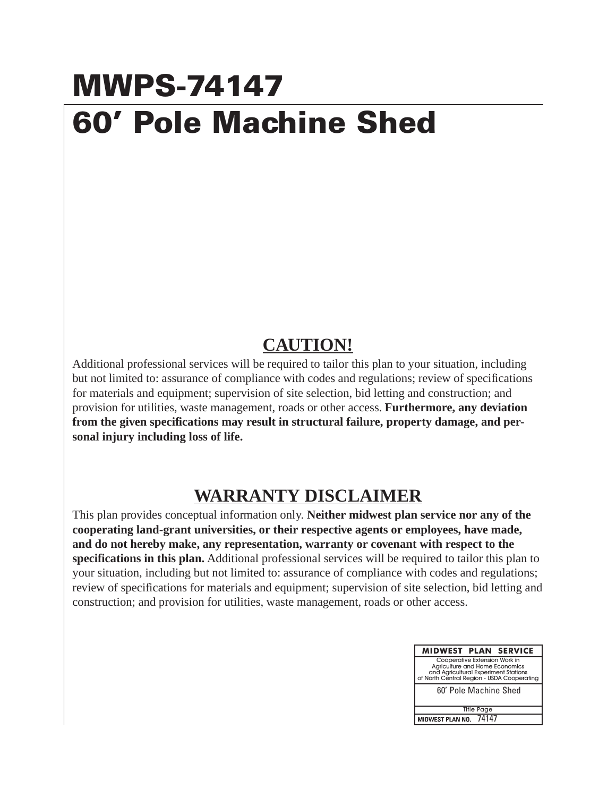## **MWPS-74147 60' Pole Machine Shed**

## **CAUTION!**

Additional professional services will be required to tailor this plan to your situation, including but not limited to: assurance of compliance with codes and regulations; review of specifications for materials and equipment; supervision of site selection, bid letting and construction; and provision for utilities, waste management, roads or other access. **Furthermore, any deviation from the given specifications may result in structural failure, property damage, and personal injury including loss of life.**

## **WARRANTY DISCLAIMER**

This plan provides conceptual information only. **Neither midwest plan service nor any of the cooperating land-grant universities, or their respective agents or employees, have made, and do not hereby make, any representation, warranty or covenant with respect to the specifications in this plan.** Additional professional services will be required to tailor this plan to your situation, including but not limited to: assurance of compliance with codes and regulations; review of specifications for materials and equipment; supervision of site selection, bid letting and construction; and provision for utilities, waste management, roads or other access.

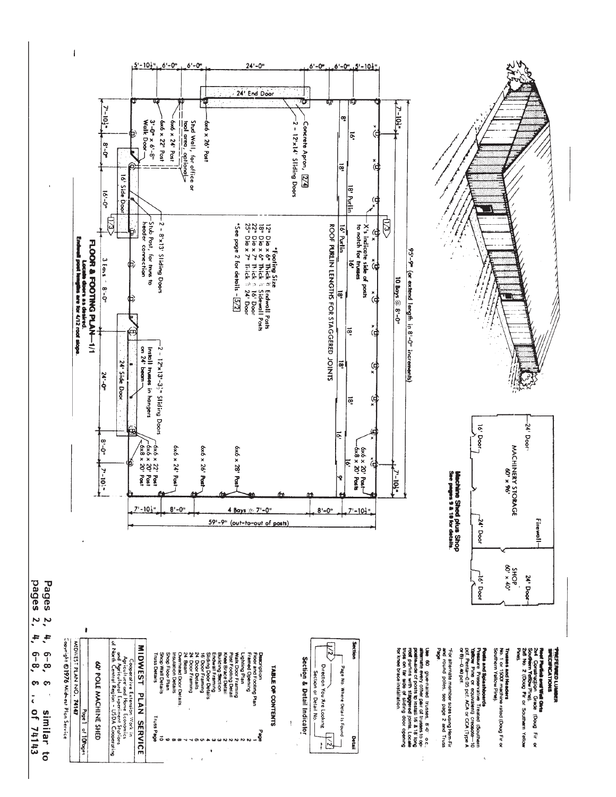

 $\overline{\phantom{a}}$ 

 $\ddot{a}$ ÷.  $\ddot{\cdot}$ ှစ<br>(၁<br>(၁<br>(၁ **co**  $\mathbf{c}$  $\frac{1}{6}$ **Of 74143** similar to

bages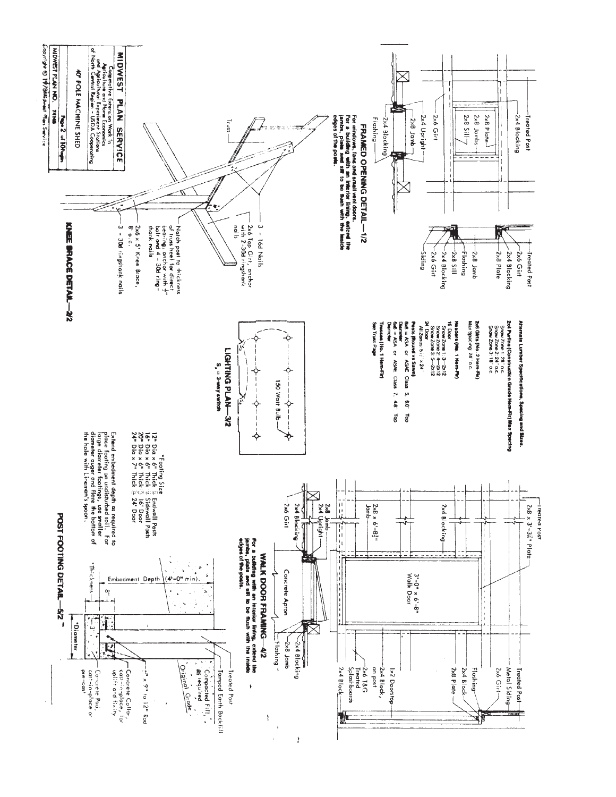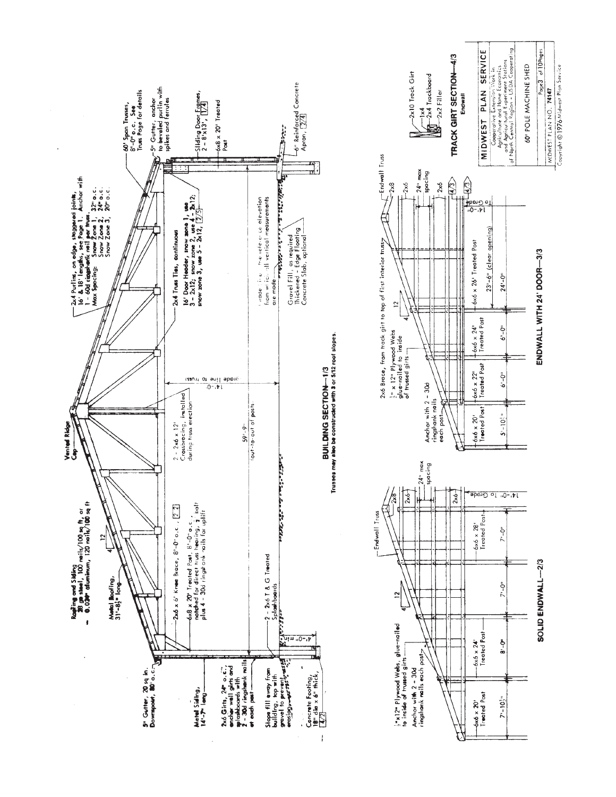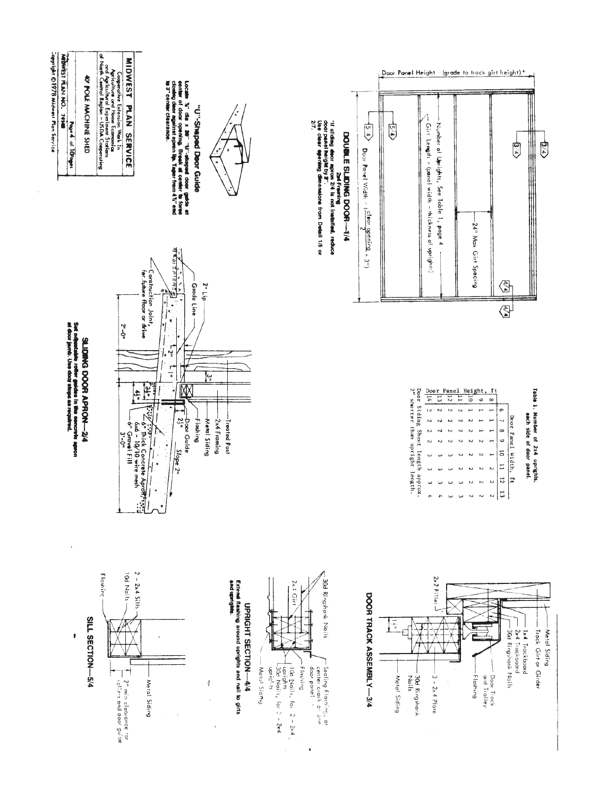

 $\bar{1}$ 

 $\pmb{\epsilon}$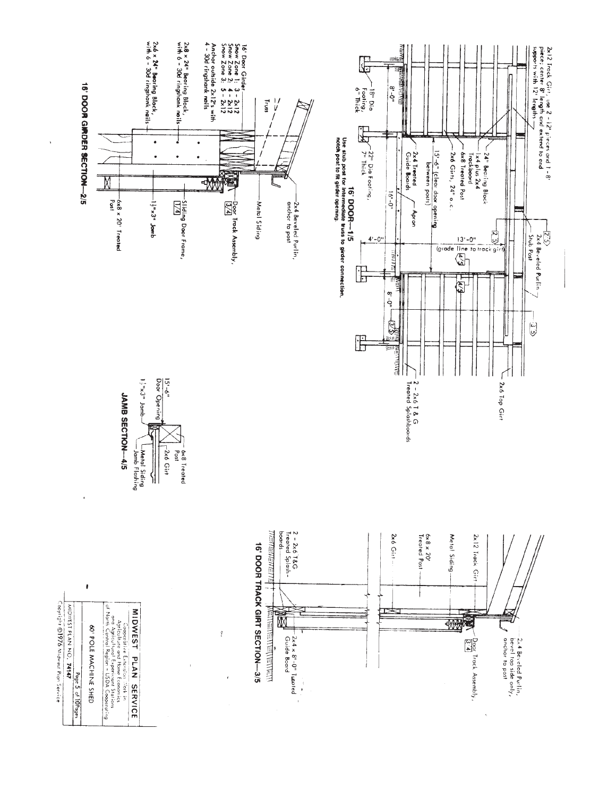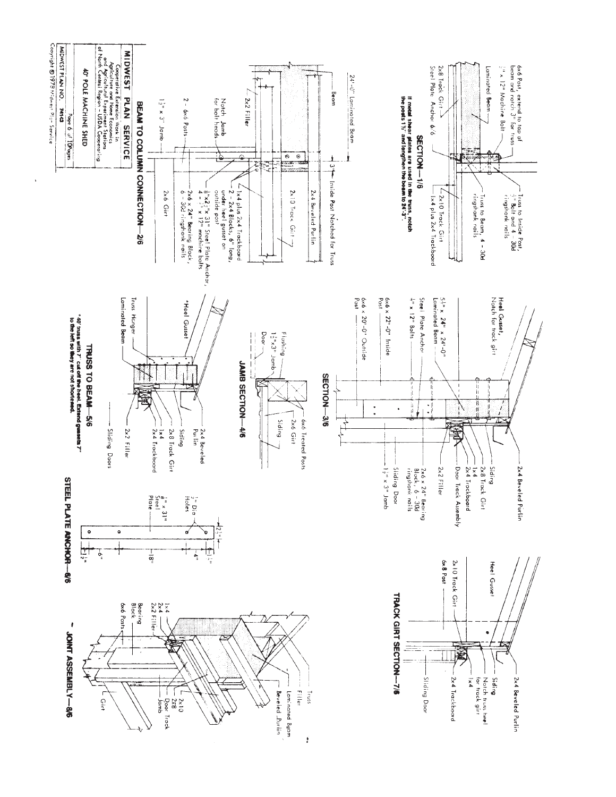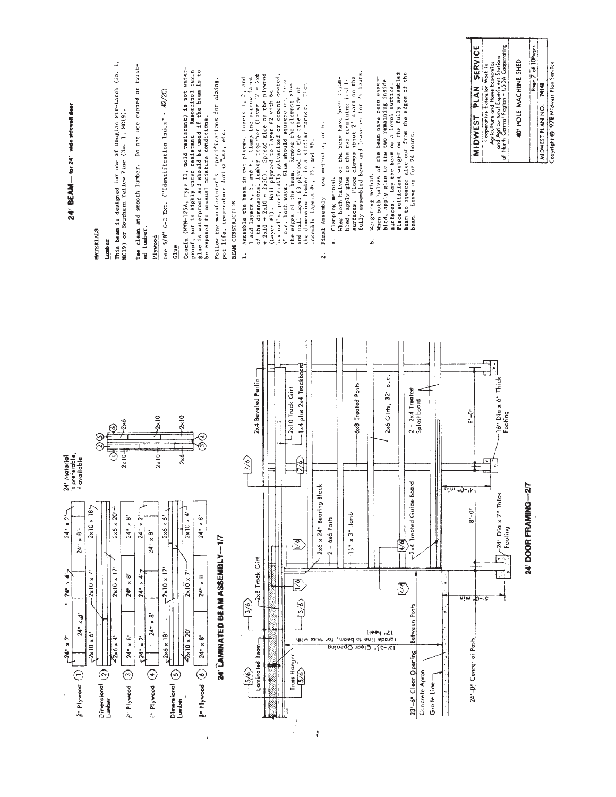| 24' BEAM - for 24' wide adewall deor                                                                                                                                                                                                                                                                           | This beam is designed for use of Douglas Fir-Larch (No. 1, MC19) or Southern Yellow Pine (No. 1, MC19).<br>MATERIALS<br>Lumber | Do not use cupped or twist-<br>Use clean and smooth lumber.<br>ed lumber.                                                                                                            | C-C Ext. ("Identification Index" = 42/20)<br>Use 5/8"<br>plywood<br>Glue                                                                                                                                                                 | Casein (MM+125A, type II, mold resistant) is not water-<br>proof, but is highly water resistant Resorcinol resingle is waterproof and should be used if the beam is to<br>be exposed to unusual moisture conditions. | Follow the manufacturer's specifications for mixing,<br>pot life, remperature during use, etc.<br>BEAM CONSTRUCTION | 3 and layers 4, 5, and 6. Clamp the narrow faces<br>of the dimensional lumber together (Layer #2 = 2x6<br>+ 2x10 + 2x10 = 2x26). Spread glue on the plywood<br>(Layer #1). Nail plywood to Jayer #2 with 6d<br>Assemble the beam in two pieces, layers 1, 2, and<br>L, | box nails, preferably galvanized or cement coated 4" o.c. both ways. Glue should squeeze out from<br>edges of the beam. Remove the clamps; alue<br>nail Layer #3 plwood to the other side of<br>Filen<br>the dimension lumber in a similar manner.<br>the edges of the beam.<br>and | Final Assembly - use method a, or h.<br>assemble layers #4, #5, and #6.<br>$\ddot{\sim}$ | fully assembled beam and leave on for 24 hours.<br>Place clamps about 2' apart on the<br>When both halves of the beam have been assem-<br>bled, apply glue to the two remaining inside<br>Clamping method.<br>surfaces.<br>d | Place sufficient weight on the fully assembled<br>halves of the beam have been assem-<br>bled, apply glue to the two remaining inside<br>surfaces. Lay the beam on a level surface.<br>Weighting method.<br>When both<br>.<br>م | beam to squeeze glue out from the edges of the<br>beam. Leave on for 24 hours.                                                                       | <b>SERVICE</b><br>PLAN<br><b>MIDWEST</b>                                    | Cooperative Extension Work in<br>and it culture and Home Economics<br>of Nanth Central Region - USDA Cooperating<br>of Nanth Central Region - USDA Cooperating | Page 7 of 10Pages<br>40' POLE MACHINE SHED<br>Copyright @ 1978 Midwest Plan Service<br>74145<br>MIDWEST PLAN NO. |
|----------------------------------------------------------------------------------------------------------------------------------------------------------------------------------------------------------------------------------------------------------------------------------------------------------------|--------------------------------------------------------------------------------------------------------------------------------|--------------------------------------------------------------------------------------------------------------------------------------------------------------------------------------|------------------------------------------------------------------------------------------------------------------------------------------------------------------------------------------------------------------------------------------|----------------------------------------------------------------------------------------------------------------------------------------------------------------------------------------------------------------------|---------------------------------------------------------------------------------------------------------------------|------------------------------------------------------------------------------------------------------------------------------------------------------------------------------------------------------------------------------------------------------------------------|-------------------------------------------------------------------------------------------------------------------------------------------------------------------------------------------------------------------------------------------------------------------------------------|------------------------------------------------------------------------------------------|------------------------------------------------------------------------------------------------------------------------------------------------------------------------------------------------------------------------------|---------------------------------------------------------------------------------------------------------------------------------------------------------------------------------------------------------------------------------|------------------------------------------------------------------------------------------------------------------------------------------------------|-----------------------------------------------------------------------------|----------------------------------------------------------------------------------------------------------------------------------------------------------------|------------------------------------------------------------------------------------------------------------------|
| 24' Material<br>is preferable,<br>if available<br>$2 \times 10 \times 18$<br>$24" * 2"$<br>$\tilde{\infty}$<br>$\pmb{\times}$<br>$24$ "<br>$24" \times 4'$<br>N<br>$2 \times 10 \times$<br>٠<br>وة<br>×<br>24 <sup>14</sup><br>$-2x10 \times 6'$<br>$-24° \times 2°$<br>$\binom{2n}{k}$ Plywood $\binom{n}{k}$ | 2x6<br>$2 \times 10 -$<br>$2x6 \times 20$<br>2x10x<br>$2x6 \times 4$<br>$D$ imensional $\overline{2}$ Lumber                   | $24" \times 8'$<br>24 <sup>14</sup><br>$^{\circ}_{\times}$<br>$24$ "<br>စ်<br>×<br>۳<br>×<br>$24$ "<br>$24^{\circ}$<br>$24" \times 8"$<br>$54'' \times 2''$<br>$\odot$<br>g" Plywood | $-2 \times 10$<br>2x10<br>$2 \times 10^{-1}$<br>$2\times$<br>$2x6 \times 6$<br>$2 \times 10 \times 17$<br>$\frac{8}{x}$<br>24 <sup>th</sup><br>$F^{2\times 6 \times 18'}$<br><sup>2</sup> Plymod (4)<br>Dimensional <b>(3)</b><br>Lumber | $2 \times 10 \times 4$<br>$\frac{5}{x}$<br>$24$ "<br>ř,<br>$24" \times 8'$<br>$2 \times 10 \times$<br>2x 10 x 20<br>$24" \times 8"$<br>$\odot$<br>a Plywood                                                          | $-1/7$<br>24" LAMINATED BEAM ASSEMBLY                                                                               | 2x4 Beveled Purlin<br>$\sqrt{6}$<br>2x8 Track Girt<br>$\frac{1}{3/6}$<br>Laminated Beam<br>5/6                                                                                                                                                                         | -1x4 plus 2x4 Trockboord<br>$-2\times10$ Track Girt<br>$\frac{5}{2}$<br>$\mathbb{E}% _{t}$<br>$\overline{\mathbb{E}}$<br>$\binom{3}{6}$<br>Truss Hanger<br>$-5/6$                                                                                                                   | ¥<br>2x6 x 24" Bearing Blor                                                              | 6x8 Treated Posts<br>$x 3"$ Jamb<br>$-$ 6x6 Posts<br>$\frac{5}{7}$<br>Ņ<br>12" heel)<br>(grade line to beam, for truss with<br><u> 13'-3}" Clear Opening</u>                                                                 | 2x6 Girts, 32" o.c.<br>$\frac{1}{4}$<br>इ                                                                                                                                                                                       | $2 - 2 \times 4$ Treated<br>Splashboard<br>p<br>Di<br><2x4 Treated Guide Bo<br>Between Posts<br>23'-6" Clear Opening<br>Concrete Apron<br>Grade Line | -<br>ခ်စ<br>w∪−.⊽<br>$8 - 0 - 8$<br>$9, -0$ , wiw<br>24'-0" Center of Posts | ł<br>16" Dia x 6" Thick<br>Footing<br>т.<br>24" Dia x 7" Thick<br>Footing                                                                                      | 24' DOOR FRAMING-27                                                                                              |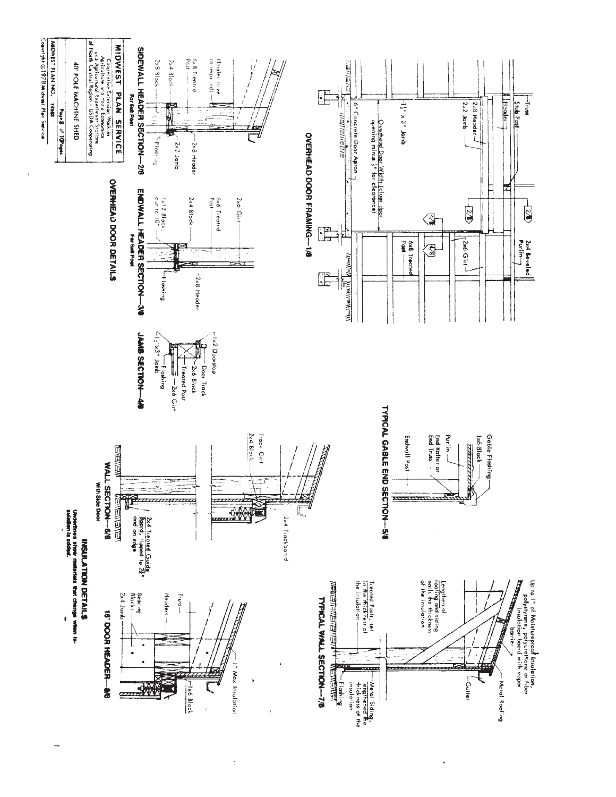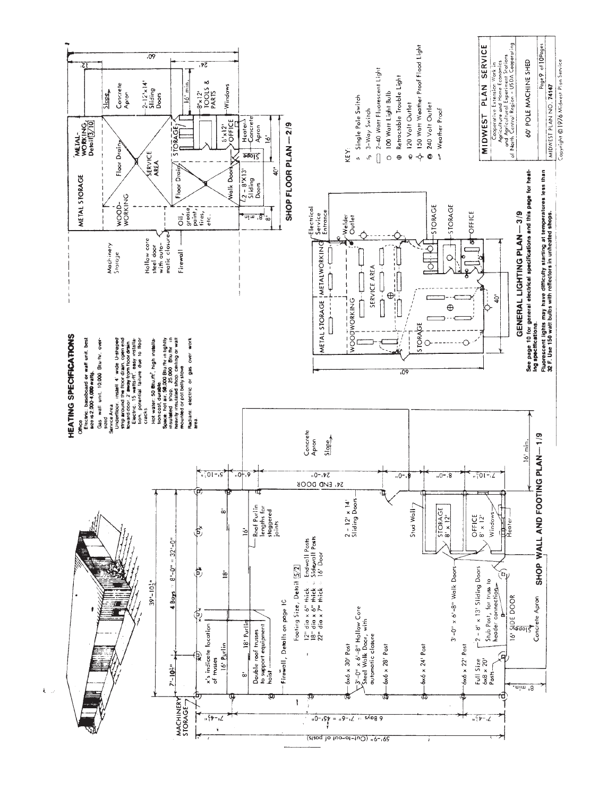

 $\hat{\omega}$ 

 $\bar{\mathbf{t}}$